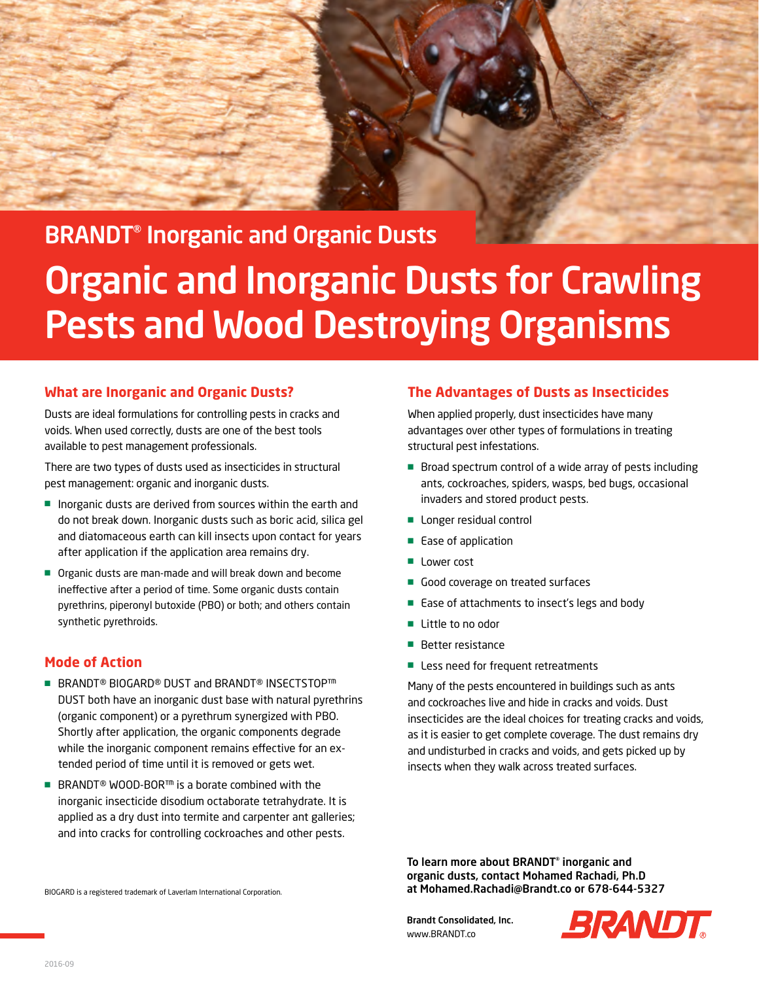

# BRANDT® Inorganic and Organic Dusts **Organic and Inorganic Dusts for Crawling** Pests and Wood Destroying Organisms

#### **What are Inorganic and Organic Dusts?**

Dusts are ideal formulations for controlling pests in cracks and voids. When used correctly, dusts are one of the best tools available to pest management professionals.

There are two types of dusts used as insecticides in structural pest management: organic and inorganic dusts.

- Inorganic dusts are derived from sources within the earth and do not break down. Inorganic dusts such as boric acid, silica gel and diatomaceous earth can kill insects upon contact for years after application if the application area remains dry.
- Organic dusts are man-made and will break down and become ineffective after a period of time. Some organic dusts contain pyrethrins, piperonyl butoxide (PBO) or both; and others contain synthetic pyrethroids.

#### **Mode of Action**

- BRANDT<sup>®</sup> BIOGARD<sup>®</sup> DUST and BRANDT<sup>®</sup> INSECTSTOP<sup>™</sup> DUST both have an inorganic dust base with natural pyrethrins (organic component) or a pyrethrum synergized with PBO. Shortly after application, the organic components degrade while the inorganic component remains effective for an extended period of time until it is removed or gets wet.
- BRANDT<sup>®</sup> WOOD-BOR<sup>™</sup> is a borate combined with the inorganic insecticide disodium octaborate tetrahydrate. It is applied as a dry dust into termite and carpenter ant galleries; and into cracks for controlling cockroaches and other pests.

#### **The Advantages of Dusts as Insecticides**

When applied properly, dust insecticides have many advantages over other types of formulations in treating structural pest infestations.

- Broad spectrum control of a wide array of pests including ants, cockroaches, spiders, wasps, bed bugs, occasional invaders and stored product pests.
- Longer residual control
- Ease of application
- Lower cost
- Good coverage on treated surfaces
- Ease of attachments to insect's legs and body
- Little to no odor
- Better resistance
- Less need for frequent retreatments

Many of the pests encountered in buildings such as ants and cockroaches live and hide in cracks and voids. Dust insecticides are the ideal choices for treating cracks and voids, as it is easier to get complete coverage. The dust remains dry and undisturbed in cracks and voids, and gets picked up by insects when they walk across treated surfaces.

To learn more about BRANDT® inorganic and organic dusts, contact Mohamed Rachadi, Ph.D at Mohamed.Rachadi@Brandt.co or 678-644-5327

Brandt Consolidated, Inc. www.BRANDT.co



BIOGARD is a registered trademark of Laverlam International Corporation.